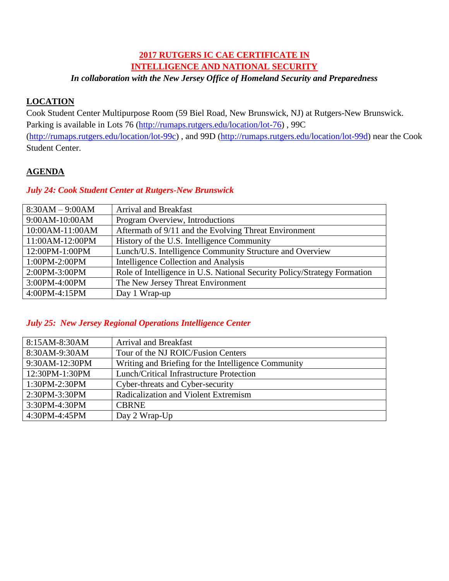# **2017 RUTGERS IC CAE CERTIFICATE IN INTELLIGENCE AND NATIONAL SECURITY**

## *In collaboration with the New Jersey Office of Homeland Security and Preparedness*

## **LOCATION**

Cook Student Center Multipurpose Room (59 Biel Road, New Brunswick, NJ) at Rutgers-New Brunswick. Parking is available in Lots 76 [\(http://rumaps.rutgers.edu/location/lot-76\)](http://rumaps.rutgers.edu/location/lot-76) , 99C [\(http://rumaps.rutgers.edu/location/lot-99c\)](http://rumaps.rutgers.edu/location/lot-99c) , and 99D [\(http://rumaps.rutgers.edu/location/lot-99d\)](http://rumaps.rutgers.edu/location/lot-99d) near the Cook Student Center.

## **AGENDA**

#### *July 24: Cook Student Center at Rutgers-New Brunswick*

| $8:30AM - 9:00AM$ | <b>Arrival and Breakfast</b>                                             |
|-------------------|--------------------------------------------------------------------------|
| 9:00AM-10:00AM    | Program Overview, Introductions                                          |
| 10:00AM-11:00AM   | Aftermath of 9/11 and the Evolving Threat Environment                    |
| 11:00AM-12:00PM   | History of the U.S. Intelligence Community                               |
| 12:00PM-1:00PM    | Lunch/U.S. Intelligence Community Structure and Overview                 |
| 1:00PM-2:00PM     | Intelligence Collection and Analysis                                     |
| 2:00PM-3:00PM     | Role of Intelligence in U.S. National Security Policy/Strategy Formation |
| 3:00PM-4:00PM     | The New Jersey Threat Environment                                        |
| 4:00PM-4:15PM     | Day 1 Wrap-up                                                            |

## *July 25: New Jersey Regional Operations Intelligence Center*

| 8:15AM-8:30AM     | <b>Arrival and Breakfast</b>                        |
|-------------------|-----------------------------------------------------|
| 8:30AM-9:30AM     | Tour of the NJ ROIC/Fusion Centers                  |
| 9:30AM-12:30PM    | Writing and Briefing for the Intelligence Community |
| 12:30PM-1:30PM    | Lunch/Critical Infrastructure Protection            |
| $1:30PM-2:30PM$   | Cyber-threats and Cyber-security                    |
| 2:30PM-3:30PM     | Radicalization and Violent Extremism                |
| 3:30PM-4:30PM     | <b>CBRNE</b>                                        |
| $4:30PM - 4:45PM$ | Day 2 Wrap-Up                                       |